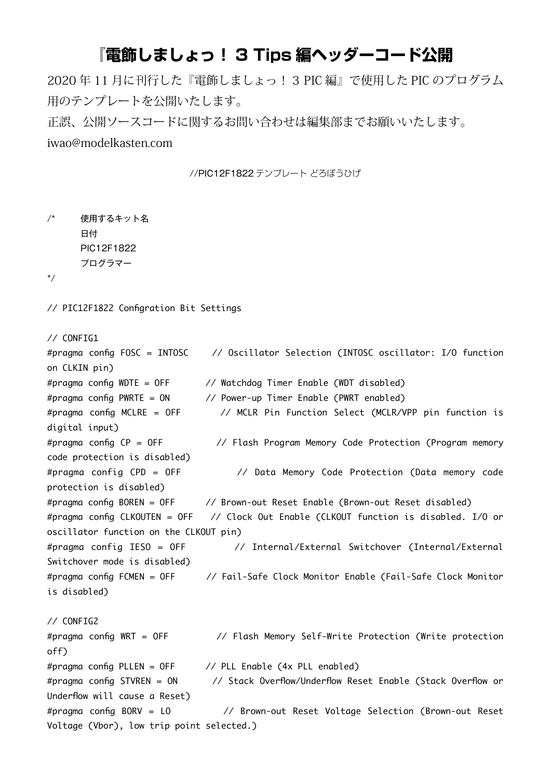## 『電飾しましょっ! 3 Tips 編ヘッダーコード公開

2020年11月に刊行した『電飾しましょっ!3 PIC 編』で使用した PIC のプログラム 用のテンプレートを公開いたします。

正誤、公開ソースコードに関するお問い合わせは編集部までお願いいたします。 iwao@modelkasten.com

//PIC12F1822 テンプレート どろぼうひげ

```
/* 使用するキット名
    日付
    PIC12F1822
    プログラマー
```
/\*

// PIC12F1822 Configration Bit Settings

```
// CONFIG1
```

```
#pragma config FOSC = INTOSC // Oscillator Selection (INTOSC oscillator: I/O function
on CLKIN pin)
#pragma config WDTE = OFF \frac{1}{2} Watchdog Timer Enable (WDT disabled)
#pragma config PWRTE = ON // Power-up Timer Enable (PWRT enabled)
#pragma config MCLRE = OFF \frac{1}{2} MCLR Pin Function Select (MCLR/VPP pin function is
digital input)
#pragma config CP = OFF // Flash Program Memory Code Protection (Program memory
code protection is disabled)
#pragma config CPD = OFF // Data Memory Code Protection (Data memory code
protection is disabled)
#pragma config BOREN = OFF \frac{1}{2} Brown-out Reset Enable (Brown-out Reset disabled)
#pragma config CLKOUTEN = OFF // Clock Out Enable (CLKOUT function is disabled. I/O or
oscillator function on the CLKOUT pin)
#pragma config IESO = OFF // Internal/External Switchover (Internal/External
Switchover mode is disabled)
#pragma config FCMEN = OFF \frac{1}{2} Fail-Safe Clock Monitor Enable (Fail-Safe Clock Monitor
is disabled)
// CONFIG2#pragma config WRT = OFF // Flash Memory Self-Write Protection (Write protection
(off
#pragma config PLLEN = OFF \frac{1}{2} PLL Enable (4x PLL enabled)
#pragma config STVREN = ON // Stack Overflow/Underflow Reset Enable (Stack Overflow or
Underflow will cause a Reset)
#pragma config BORV = LO // Brown-out Reset Voltage Selection (Brown-out Reset
Voltage (Vbor), low trip point selected.)
```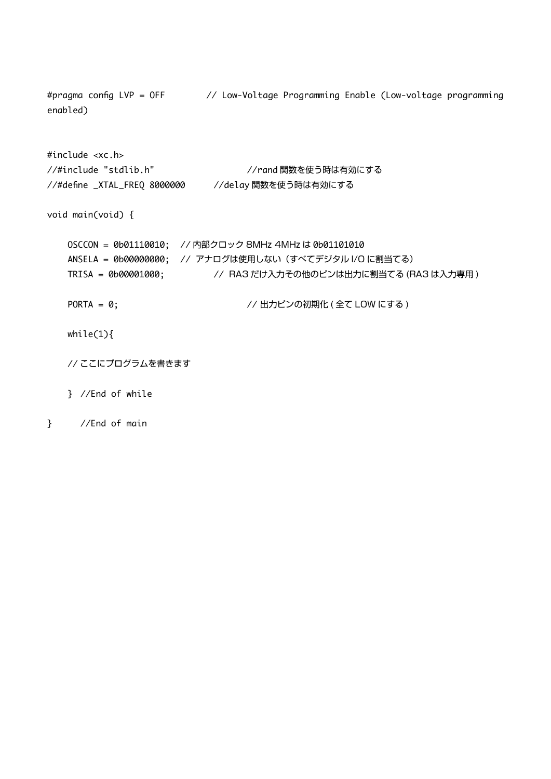#pragma config LVP = OFF  $\frac{1}{2}$  Low-Voltage Programming Enable (Low-voltage programming (enabled

 $#include <$   $$ //#include "stdlib.h" //rand 関数を使う時は有効にする 関数を使う時は有効にする delay// 8000000 FREQ\_XTAL \_define//#

void main (void)  $\{$ 

- 0SCCON = 0b01110010; //内部クロック 8MHz 4MHz は 0b01101010 ANSELA = 0b00000000; // アナログは使用しない (すべてデジタル I/O に割当てる) TRISA = 0b00001000; <br>
// RA3 だけ入力その他のピンは出力に割当てる (RA3 は入力専用)
- ( にする LOW 全て ( 出力ピンの初期化 //; 0 = PORTA

while $(1)$ {

// ここにプログラムを書きます

 $}$  //End of while

## $\}$  //End of main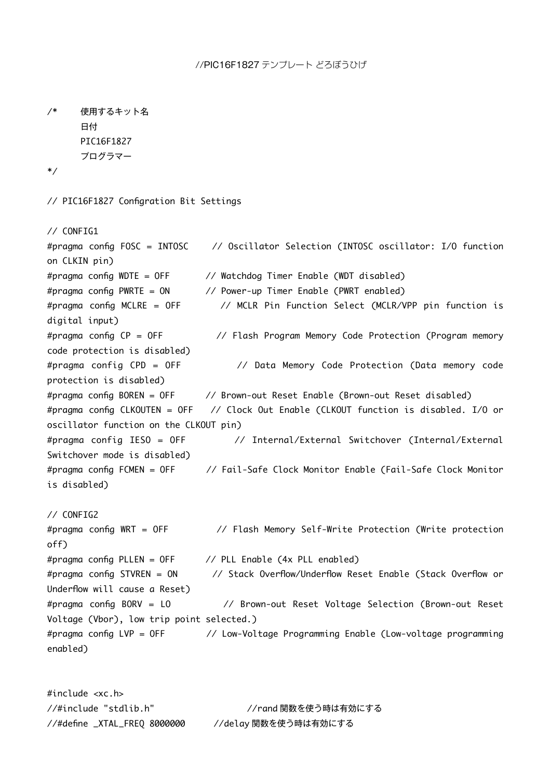//PIC16F1827 テンプレート どろぼうひげ

```
/* 使用するキット名
      日付
      PIC16F1827
      プログラマー
/*
// PIC16F1827 Configration Bit Settings
// CONFIG1#pragma config FOSC = INTOSC // Oscillator Selection (INTOSC oscillator: I/O function
on CLKIN pin)
#pragma config WDTE = OFF \frac{1}{2} Watchdog Timer Enable (WDT disabled)
#pragma config PWRTE = ON // Power-up Timer Enable (PWRT enabled)
#pragma config MCLRE = OFF \prime\prime MCLR Pin Function Select (MCLR/VPP pin function is
digital input)
#pragma config CP = OFF // Flash Program Memory Code Protection (Program memory
code protection is disabled)
#pragma config CPD = OFF // Data Memory Code Protection (Data memory code
protection is disabled)
#pragma config BOREN = OFF \frac{1}{2} Brown-out Reset Enable (Brown-out Reset disabled)
#pragma config CLKOUTEN = OFF \frac{7}{2} Clock Out Enable (CLKOUT function is disabled. I/O or
(pin) oscillator function on the CLKOUT pin)
#pragma config IESO = OFF // Internal/External Switchover (Internal/External
Switchover mode is disabled)
#pragma config FCMEN = OFF \frac{1}{2} Fail-Safe Clock Monitor Enable (Fail-Safe Clock Monitor
is disabled)
// CONFIG2#pragma config WRT = OFF \frac{1}{2} Flash Memory Self-Write Protection (Write protection
(off
#pragma config PLLEN = OFF \frac{1}{2} PLL Enable (4x PLL enabled)
#praama confia STVREN = ON \frac{1}{2} Stack Overflow/Underflow Reset Enable (Stack Overflow or
Underflow will cause a Reset)
#pragma config BORV = LO // Brown-out Reset Voltage Selection (Brown-out Reset
Voltage (Vbor), low trip point selected.)
#pragma config LVP = OF // Low-Voltage Programming Enable (Low-voltage programming
(enabled
```
 $#include < xc.h$ //#include "stdlib.h" //rand 関数を使う時は有効にする //#define \_XTAL\_FREQ 8000000 //delay 関数を使う時は有効にする